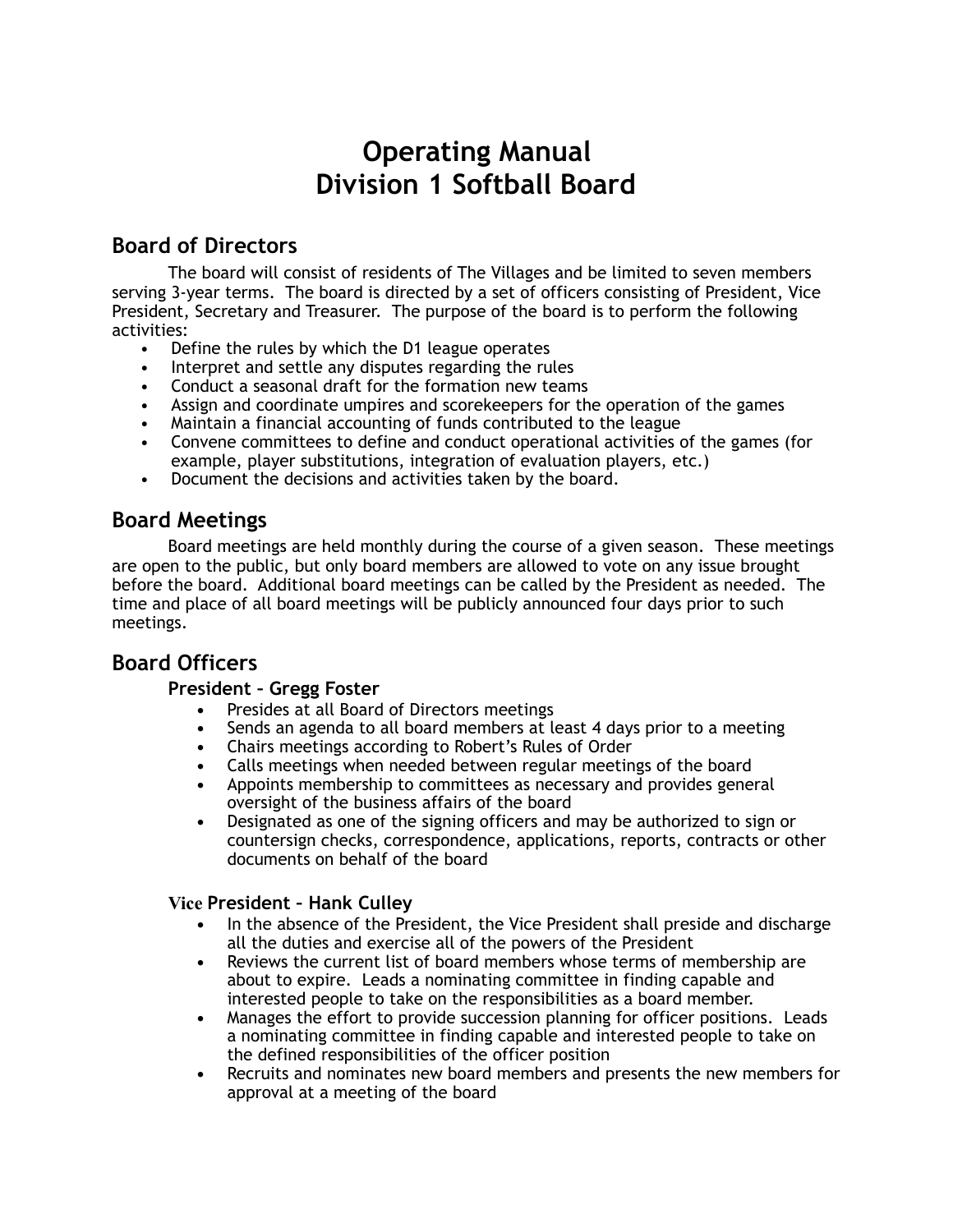# **Operating Manual Division 1 Softball Board**

# **Board of Directors**

The board will consist of residents of The Villages and be limited to seven members serving 3-year terms. The board is directed by a set of officers consisting of President, Vice President, Secretary and Treasurer. The purpose of the board is to perform the following activities:

- Define the rules by which the D1 league operates
- Interpret and settle any disputes regarding the rules
- Conduct a seasonal draft for the formation new teams
- Assign and coordinate umpires and scorekeepers for the operation of the games
- Maintain a financial accounting of funds contributed to the league
- Convene committees to define and conduct operational activities of the games (for example, player substitutions, integration of evaluation players, etc.)
- Document the decisions and activities taken by the board.

# **Board Meetings**

Board meetings are held monthly during the course of a given season. These meetings are open to the public, but only board members are allowed to vote on any issue brought before the board. Additional board meetings can be called by the President as needed. The time and place of all board meetings will be publicly announced four days prior to such meetings.

# **Board Officers**

## **President – Gregg Foster**

- **•** Presides at all Board of Directors meetings
- **•** Sends an agenda to all board members at least 4 days prior to a meeting
- **•** Chairs meetings according to Robert's Rules of Order
- **•** Calls meetings when needed between regular meetings of the board
- **•** Appoints membership to committees as necessary and provides general oversight of the business affairs of the board
- **•** Designated as one of the signing officers and may be authorized to sign or countersign checks, correspondence, applications, reports, contracts or other documents on behalf of the board

## **Vice President – Hank Culley**

- **•** In the absence of the President, the Vice President shall preside and discharge all the duties and exercise all of the powers of the President
- **•** Reviews the current list of board members whose terms of membership are about to expire. Leads a nominating committee in finding capable and interested people to take on the responsibilities as a board member.
- **•** Manages the effort to provide succession planning for officer positions. Leads a nominating committee in finding capable and interested people to take on the defined responsibilities of the officer position
- **•** Recruits and nominates new board members and presents the new members for approval at a meeting of the board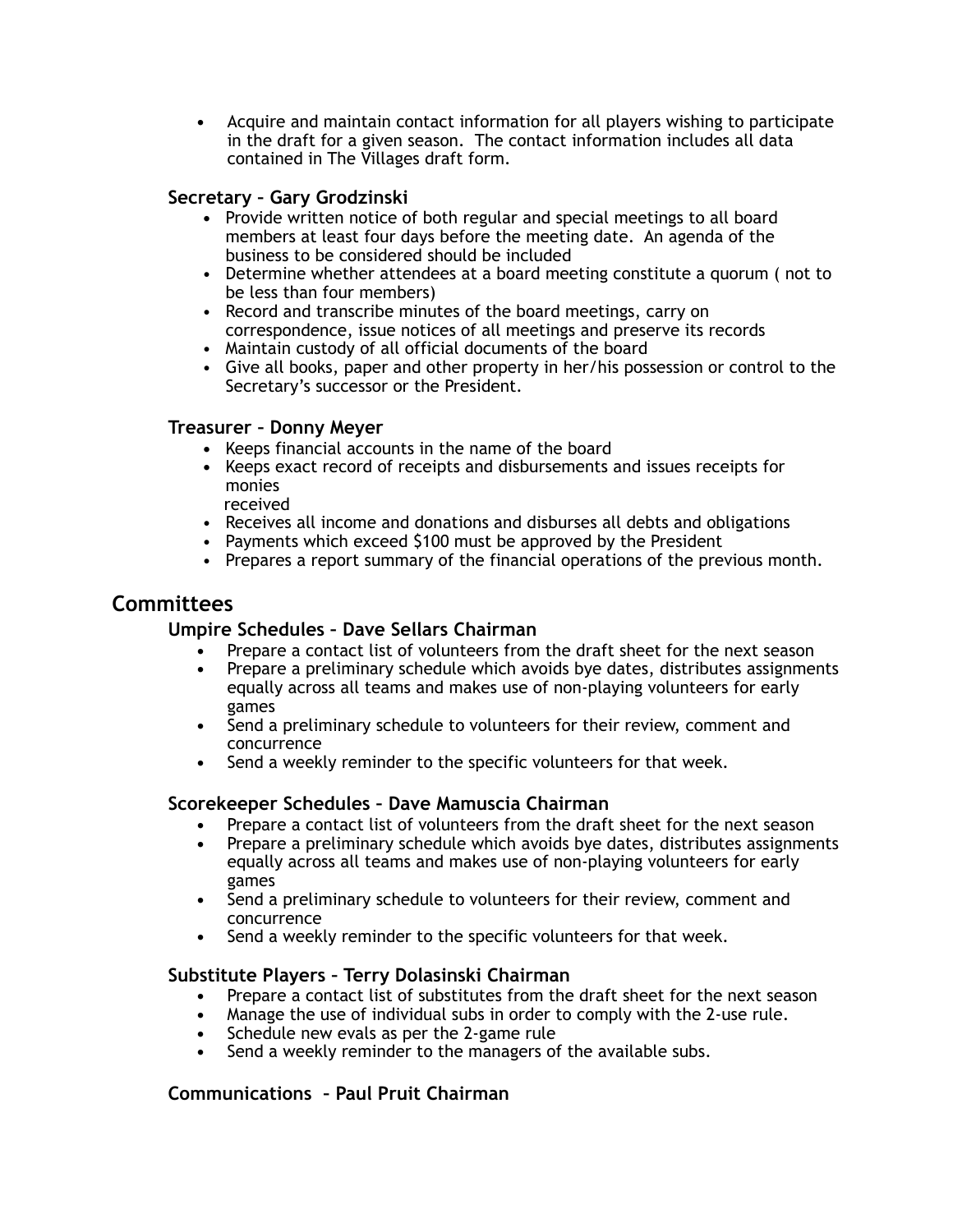**•** Acquire and maintain contact information for all players wishing to participate in the draft for a given season. The contact information includes all data contained in The Villages draft form.

### **Secretary – Gary Grodzinski**

- **•** Provide written notice of both regular and special meetings to all board members at least four days before the meeting date. An agenda of the business to be considered should be included
- Determine whether attendees at a board meeting constitute a quorum ( not to be less than four members)
- Record and transcribe minutes of the board meetings, carry on correspondence, issue notices of all meetings and preserve its records
- Maintain custody of all official documents of the board
- Give all books, paper and other property in her/his possession or control to the Secretary's successor or the President.

#### **Treasurer – Donny Meyer**

- **•** Keeps financial accounts in the name of the board
- **•** Keeps exact record of receipts and disbursements and issues receipts for monies
- received
- Receives all income and donations and disburses all debts and obligations
- Payments which exceed \$100 must be approved by the President
- Prepares a report summary of the financial operations of the previous month.

# **Committees**

## **Umpire Schedules – Dave Sellars Chairman**

- **•** Prepare a contact list of volunteers from the draft sheet for the next season
- **•** Prepare a preliminary schedule which avoids bye dates, distributes assignments equally across all teams and makes use of non-playing volunteers for early games
- **•** Send a preliminary schedule to volunteers for their review, comment and concurrence
- **•** Send a weekly reminder to the specific volunteers for that week.

#### **Scorekeeper Schedules – Dave Mamuscia Chairman**

- **•** Prepare a contact list of volunteers from the draft sheet for the next season
- **•** Prepare a preliminary schedule which avoids bye dates, distributes assignments equally across all teams and makes use of non-playing volunteers for early games
- **•** Send a preliminary schedule to volunteers for their review, comment and concurrence
- **•** Send a weekly reminder to the specific volunteers for that week.

#### **Substitute Players – Terry Dolasinski Chairman**

- **•** Prepare a contact list of substitutes from the draft sheet for the next season
- **•** Manage the use of individual subs in order to comply with the 2-use rule.
- **•** Schedule new evals as per the 2-game rule
- **•** Send a weekly reminder to the managers of the available subs.

## **Communications – Paul Pruit Chairman**